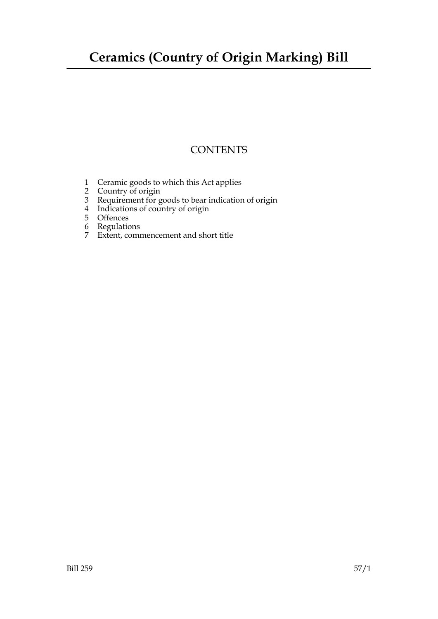## **Ceramics (Country of Origin Marking) Bill**

### **CONTENTS**

- 1 Ceramic goods to which this Act applies
- 2 Country of origin
- 3 Requirement for goods to bear indication of origin
- 4 Indications of country of origin
- 5 Offences
- 6 Regulations
- 7 Extent, commencement and short title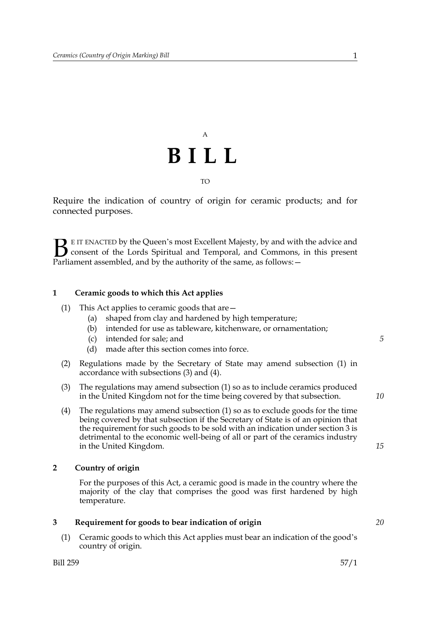# A **BILL** TO

Require the indication of country of origin for ceramic products; and for connected purposes.

E IT ENACTED by the Queen's most Excellent Majesty, by and with the advice and consent of the Lords Spiritual and Temporal, and Commons, in this present **B** E IT ENACTED by the Queen's most Excellent Majesty, by and with consent of the Lords Spiritual and Temporal, and Commons, Parliament assembled, and by the authority of the same, as follows:

#### **1 Ceramic goods to which this Act applies**

- (1) This Act applies to ceramic goods that are—
	- (a) shaped from clay and hardened by high temperature;
	- (b) intended for use as tableware, kitchenware, or ornamentation;
	- (c) intended for sale; and
	- (d) made after this section comes into force.
- (2) Regulations made by the Secretary of State may amend subsection (1) in accordance with subsections (3) and (4).
- (3) The regulations may amend subsection (1) so as to include ceramics produced in the United Kingdom not for the time being covered by that subsection.
- (4) The regulations may amend subsection (1) so as to exclude goods for the time being covered by that subsection if the Secretary of State is of an opinion that the requirement for such goods to be sold with an indication under section 3 is detrimental to the economic well-being of all or part of the ceramics industry in the United Kingdom.

#### **2 Country of origin**

 For the purposes of this Act, a ceramic good is made in the country where the majority of the clay that comprises the good was first hardened by high temperature.

#### **3 Requirement for goods to bear indication of origin**

(1) Ceramic goods to which this Act applies must bear an indication of the good's country of origin.

*5*

*15*

*20*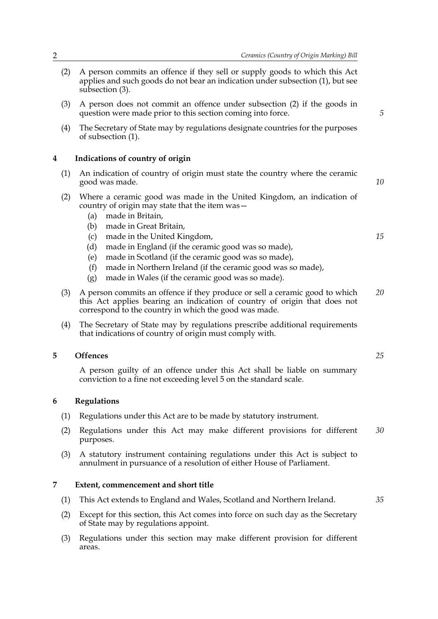- (2) A person commits an offence if they sell or supply goods to which this Act applies and such goods do not bear an indication under subsection (1), but see subsection (3).
- (3) A person does not commit an offence under subsection (2) if the goods in question were made prior to this section coming into force.
- (4) The Secretary of State may by regulations designate countries for the purposes of subsection (1).

#### **4 Indications of country of origin**

- (1) An indication of country of origin must state the country where the ceramic good was made.
- (2) Where a ceramic good was made in the United Kingdom, an indication of country of origin may state that the item was—
	- (a) made in Britain,
	- (b) made in Great Britain,
	- (c) made in the United Kingdom,
	- (d) made in England (if the ceramic good was so made),
	- (e) made in Scotland (if the ceramic good was so made),
	- (f) made in Northern Ireland (if the ceramic good was so made),
	- (g) made in Wales (if the ceramic good was so made).
- (3) A person commits an offence if they produce or sell a ceramic good to which this Act applies bearing an indication of country of origin that does not correspond to the country in which the good was made. *20*
- (4) The Secretary of State may by regulations prescribe additional requirements that indications of country of origin must comply with.

#### **5 Offences**

 A person guilty of an offence under this Act shall be liable on summary conviction to a fine not exceeding level 5 on the standard scale.

#### **6 Regulations**

- (1) Regulations under this Act are to be made by statutory instrument.
- (2) Regulations under this Act may make different provisions for different purposes. *30*
- (3) A statutory instrument containing regulations under this Act is subject to annulment in pursuance of a resolution of either House of Parliament.

#### **7 Extent, commencement and short title**

- (1) This Act extends to England and Wales, Scotland and Northern Ireland.
- (2) Except for this section, this Act comes into force on such day as the Secretary of State may by regulations appoint.
- (3) Regulations under this section may make different provision for different areas.

*25*

*35*

*5*

*10*

*15*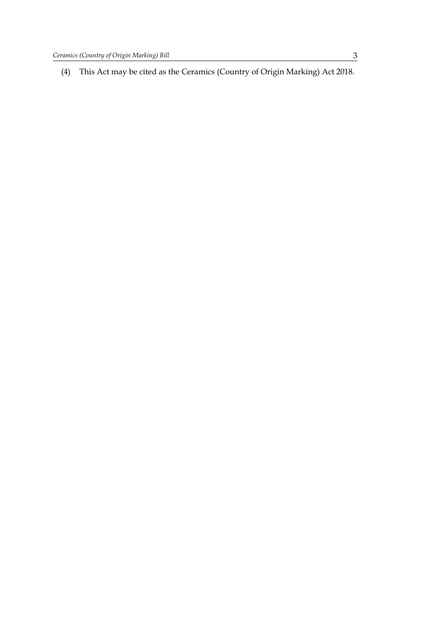(4) This Act may be cited as the Ceramics (Country of Origin Marking) Act 2018.